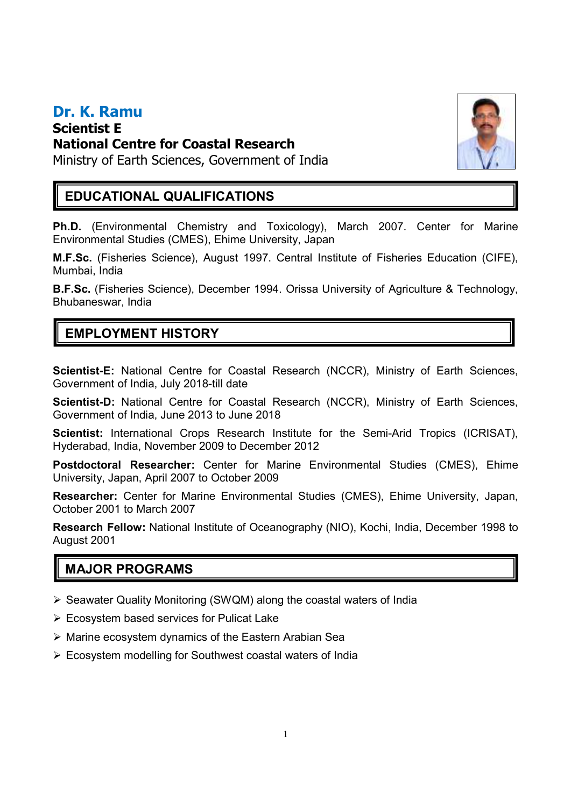#### **Dr. K. Ramu Scientist E National Centre for Coastal Research**



Ministry of Earth Sciences, Government of India

### **EDUCATIONAL QUALIFICATIONS**

**Ph.D.** (Environmental Chemistry and Toxicology), March 2007. Center for Marine Environmental Studies (CMES), Ehime University, Japan

**M.F.Sc.** (Fisheries Science), August 1997. Central Institute of Fisheries Education (CIFE), Mumbai, India

**B.F.Sc.** (Fisheries Science), December 1994. Orissa University of Agriculture & Technology, Bhubaneswar, India

## **EMPLOYMENT HISTORY**

**Scientist-E:** National Centre for Coastal Research (NCCR), Ministry of Earth Sciences, Government of India, July 2018-till date

**Scientist-D:** National Centre for Coastal Research (NCCR), Ministry of Earth Sciences, Government of India, June 2013 to June 2018

**Scientist:** International Crops Research Institute for the Semi-Arid Tropics (ICRISAT), Hyderabad, India, November 2009 to December 2012

**Postdoctoral Researcher:** Center for Marine Environmental Studies (CMES), Ehime University, Japan, April 2007 to October 2009

**Researcher:** Center for Marine Environmental Studies (CMES), Ehime University, Japan, October 2001 to March 2007

**Research Fellow:** National Institute of Oceanography (NIO), Kochi, India, December 1998 to August 2001

## **MAJOR PROGRAMS**

- $\triangleright$  Seawater Quality Monitoring (SWQM) along the coastal waters of India
- $\triangleright$  Ecosystem based services for Pulicat Lake
- Marine ecosystem dynamics of the Eastern Arabian Sea
- Ecosystem modelling for Southwest coastal waters of India